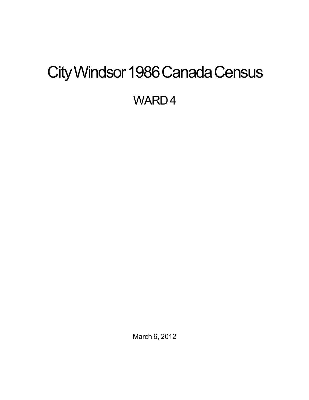# <span id="page-0-0"></span>City Windsor 1986 Canada Census

WARD4

March 6, 2012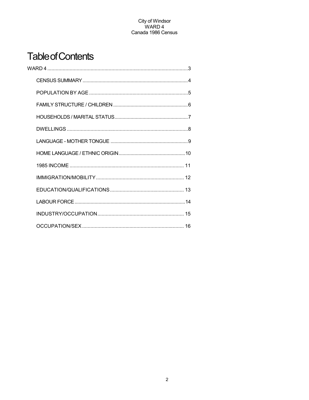## **Table of Contents**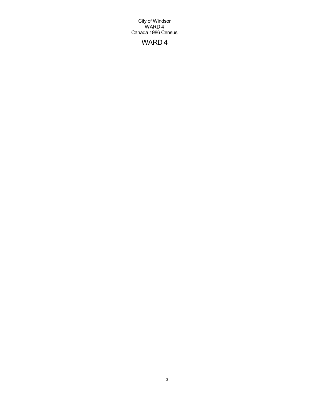## WARD 4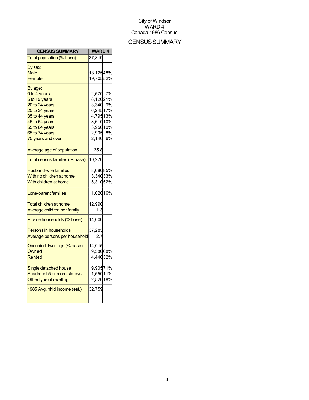## CENSUS SUMMARY

| Total population (% base)<br>37,819<br>By sex:<br>18,12548%<br><b>Male</b><br>19,70552%<br>Female<br>By age:<br>2,570<br>0 to 4 years<br>8,12021%<br>5 to 19 years<br>20 to 24 years<br>3,340 9%<br>6,24517%<br>25 to 34 years<br>4,79513%<br>35 to 44 years<br>3,61010%<br>45 to 54 years<br>3,95010%<br>55 to 64 years<br>2,905 8%<br>65 to 74 years<br>2,140 6%<br>75 years and over<br>Average age of population<br>35.8<br>Total census families (% base)<br>10,270<br>8,68085%<br><b>Husband-wife families</b><br>3,34033%<br>With no children at home<br>With children at home<br>5,31052%<br>1,62016%<br>Lone-parent families<br>12,990<br><b>Total children at home</b><br>Average children per family<br>1.3<br>14,000<br>Private households (% base)<br>37,285<br><b>Persons in households</b><br>Average persons per household<br>2.7<br>Occupied dwellings (% base)<br>14,015<br>9,58068%<br>Owned<br>Rented<br>4,44032%<br>9,90571%<br>Single detached house<br>Apartment 5 or more storeys<br>1,55011%<br>2,52018%<br>Other type of dwelling<br>1985 Avg. hhld income (est.)<br>32,759 | <b>CENSUS SUMMARY</b> | <b>WARD4</b> |    |
|-------------------------------------------------------------------------------------------------------------------------------------------------------------------------------------------------------------------------------------------------------------------------------------------------------------------------------------------------------------------------------------------------------------------------------------------------------------------------------------------------------------------------------------------------------------------------------------------------------------------------------------------------------------------------------------------------------------------------------------------------------------------------------------------------------------------------------------------------------------------------------------------------------------------------------------------------------------------------------------------------------------------------------------------------------------------------------------------------------|-----------------------|--------------|----|
|                                                                                                                                                                                                                                                                                                                                                                                                                                                                                                                                                                                                                                                                                                                                                                                                                                                                                                                                                                                                                                                                                                       |                       |              |    |
|                                                                                                                                                                                                                                                                                                                                                                                                                                                                                                                                                                                                                                                                                                                                                                                                                                                                                                                                                                                                                                                                                                       |                       |              |    |
|                                                                                                                                                                                                                                                                                                                                                                                                                                                                                                                                                                                                                                                                                                                                                                                                                                                                                                                                                                                                                                                                                                       |                       |              |    |
|                                                                                                                                                                                                                                                                                                                                                                                                                                                                                                                                                                                                                                                                                                                                                                                                                                                                                                                                                                                                                                                                                                       |                       |              |    |
|                                                                                                                                                                                                                                                                                                                                                                                                                                                                                                                                                                                                                                                                                                                                                                                                                                                                                                                                                                                                                                                                                                       |                       |              |    |
|                                                                                                                                                                                                                                                                                                                                                                                                                                                                                                                                                                                                                                                                                                                                                                                                                                                                                                                                                                                                                                                                                                       |                       |              | 7% |
|                                                                                                                                                                                                                                                                                                                                                                                                                                                                                                                                                                                                                                                                                                                                                                                                                                                                                                                                                                                                                                                                                                       |                       |              |    |
|                                                                                                                                                                                                                                                                                                                                                                                                                                                                                                                                                                                                                                                                                                                                                                                                                                                                                                                                                                                                                                                                                                       |                       |              |    |
|                                                                                                                                                                                                                                                                                                                                                                                                                                                                                                                                                                                                                                                                                                                                                                                                                                                                                                                                                                                                                                                                                                       |                       |              |    |
|                                                                                                                                                                                                                                                                                                                                                                                                                                                                                                                                                                                                                                                                                                                                                                                                                                                                                                                                                                                                                                                                                                       |                       |              |    |
|                                                                                                                                                                                                                                                                                                                                                                                                                                                                                                                                                                                                                                                                                                                                                                                                                                                                                                                                                                                                                                                                                                       |                       |              |    |
|                                                                                                                                                                                                                                                                                                                                                                                                                                                                                                                                                                                                                                                                                                                                                                                                                                                                                                                                                                                                                                                                                                       |                       |              |    |
|                                                                                                                                                                                                                                                                                                                                                                                                                                                                                                                                                                                                                                                                                                                                                                                                                                                                                                                                                                                                                                                                                                       |                       |              |    |
|                                                                                                                                                                                                                                                                                                                                                                                                                                                                                                                                                                                                                                                                                                                                                                                                                                                                                                                                                                                                                                                                                                       |                       |              |    |
|                                                                                                                                                                                                                                                                                                                                                                                                                                                                                                                                                                                                                                                                                                                                                                                                                                                                                                                                                                                                                                                                                                       |                       |              |    |
|                                                                                                                                                                                                                                                                                                                                                                                                                                                                                                                                                                                                                                                                                                                                                                                                                                                                                                                                                                                                                                                                                                       |                       |              |    |
|                                                                                                                                                                                                                                                                                                                                                                                                                                                                                                                                                                                                                                                                                                                                                                                                                                                                                                                                                                                                                                                                                                       |                       |              |    |
|                                                                                                                                                                                                                                                                                                                                                                                                                                                                                                                                                                                                                                                                                                                                                                                                                                                                                                                                                                                                                                                                                                       |                       |              |    |
|                                                                                                                                                                                                                                                                                                                                                                                                                                                                                                                                                                                                                                                                                                                                                                                                                                                                                                                                                                                                                                                                                                       |                       |              |    |
|                                                                                                                                                                                                                                                                                                                                                                                                                                                                                                                                                                                                                                                                                                                                                                                                                                                                                                                                                                                                                                                                                                       |                       |              |    |
|                                                                                                                                                                                                                                                                                                                                                                                                                                                                                                                                                                                                                                                                                                                                                                                                                                                                                                                                                                                                                                                                                                       |                       |              |    |
|                                                                                                                                                                                                                                                                                                                                                                                                                                                                                                                                                                                                                                                                                                                                                                                                                                                                                                                                                                                                                                                                                                       |                       |              |    |
|                                                                                                                                                                                                                                                                                                                                                                                                                                                                                                                                                                                                                                                                                                                                                                                                                                                                                                                                                                                                                                                                                                       |                       |              |    |
|                                                                                                                                                                                                                                                                                                                                                                                                                                                                                                                                                                                                                                                                                                                                                                                                                                                                                                                                                                                                                                                                                                       |                       |              |    |
|                                                                                                                                                                                                                                                                                                                                                                                                                                                                                                                                                                                                                                                                                                                                                                                                                                                                                                                                                                                                                                                                                                       |                       |              |    |
|                                                                                                                                                                                                                                                                                                                                                                                                                                                                                                                                                                                                                                                                                                                                                                                                                                                                                                                                                                                                                                                                                                       |                       |              |    |
|                                                                                                                                                                                                                                                                                                                                                                                                                                                                                                                                                                                                                                                                                                                                                                                                                                                                                                                                                                                                                                                                                                       |                       |              |    |
|                                                                                                                                                                                                                                                                                                                                                                                                                                                                                                                                                                                                                                                                                                                                                                                                                                                                                                                                                                                                                                                                                                       |                       |              |    |
|                                                                                                                                                                                                                                                                                                                                                                                                                                                                                                                                                                                                                                                                                                                                                                                                                                                                                                                                                                                                                                                                                                       |                       |              |    |
|                                                                                                                                                                                                                                                                                                                                                                                                                                                                                                                                                                                                                                                                                                                                                                                                                                                                                                                                                                                                                                                                                                       |                       |              |    |
|                                                                                                                                                                                                                                                                                                                                                                                                                                                                                                                                                                                                                                                                                                                                                                                                                                                                                                                                                                                                                                                                                                       |                       |              |    |
|                                                                                                                                                                                                                                                                                                                                                                                                                                                                                                                                                                                                                                                                                                                                                                                                                                                                                                                                                                                                                                                                                                       |                       |              |    |
|                                                                                                                                                                                                                                                                                                                                                                                                                                                                                                                                                                                                                                                                                                                                                                                                                                                                                                                                                                                                                                                                                                       |                       |              |    |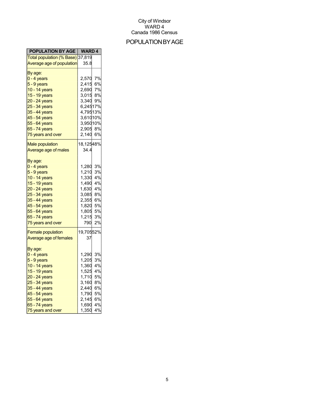## POPULATIONBYAGE

| <b>POPULATION BY AGE   WARD 4</b>              |           |    |
|------------------------------------------------|-----------|----|
| Total population ( <mark>% Base)</mark> 37,819 |           |    |
| Average age of population                      | 35.8      |    |
| By age:                                        |           |    |
| <mark>0 - 4 years</mark>                       | 2,570 7%  |    |
| 5 - 9 years                                    | 2,415     | 6% |
| 10 - 14 years                                  | 2,690     | 7% |
| 15 - 19 years                                  | 3,015     | 8% |
| 20 - 24 years                                  | 3,340 9%  |    |
| 25 - 34 years                                  | 6,24517%  |    |
| 35 - 44 years                                  | 4,79513%  |    |
| 45 - 54 years                                  | 3,61010%  |    |
| 55 - 64 years                                  | 3,95010%  |    |
| 65 - 74 years                                  | 2,905 8%  |    |
| 75 years and over                              | 2,140     | 6% |
|                                                |           |    |
| <b>Male population</b>                         | 18,12548% |    |
| Average age of males                           | 34.4      |    |
|                                                |           |    |
| By age:                                        |           |    |
| <mark>0 - 4 years</mark>                       | 1,280     | 3% |
| 5 - 9 years                                    | 1,210     | 3% |
| 10 - 14 years                                  | 1,330     | 4% |
| 15 - 19 years                                  | 1,490     | 4% |
| 20 - 24 years                                  | 1,630     | 4% |
| 25 - 34 years                                  | 3,085     | 8% |
| 35 - 44 years                                  | 2,355     | 6% |
| 45 - 54 years                                  | 1,820     | 5% |
| 55 - 64 years                                  | 1,805     | 5% |
| 65 - 74 years                                  | 1,215     | 3% |
| 75 years and over                              | 790       | 2% |
| <b>Female population</b>                       | 19,70552% |    |
| Average age of females                         | 37        |    |
|                                                |           |    |
| By age:                                        |           |    |
| 0 - 4 years                                    | 1,290     | 3% |
| 5 - 9 years                                    | 1,205     | 3% |
| 10 - 14 years                                  | 1,360     | 4% |
| 15 - 19 years                                  | 1,525     | 4% |
| 20 - 24 years                                  | 1,710     | 5% |
| 25 - 34 years                                  | 3,160     | 8% |
| 35 - 44 years                                  | 2,440     | 6% |
| 45 - 54 years                                  | 1,790     | 5% |
| 55 - 64 years                                  | 2,145     | 6% |
| 65 - 74 years                                  | 1,690     | 4% |
| 75 years and over                              | 1,350     | 4% |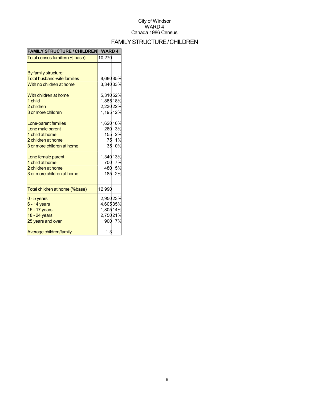## FAMILYSTRUCTURE/CHILDREN

| <b>FAMILY STRUCTURE / CHILDREN</b> | <b>WARD4</b> |        |
|------------------------------------|--------------|--------|
| Total census families (% base)     | 10,270       |        |
|                                    |              |        |
| By family structure:               |              |        |
| <b>Total husband-wife families</b> | 8,68085%     |        |
| With no children at home           | 3,34033%     |        |
| With children at home              | 5,31052%     |        |
| 1 child                            | 1,88518%     |        |
| 2 children                         | 2,23022%     |        |
| 3 or more children                 | 1,19512%     |        |
| Lone-parent families               | 1,62016%     |        |
| Lone male parent                   |              | 260 3% |
| 1 child at home                    |              | 155 2% |
| 2 children at home                 |              | 75 1%  |
| 3 or more children at home         |              | 35 0%  |
| Lone female parent                 | 1,34013%     |        |
| 1 child at home                    |              | 700 7% |
| 2 children at home                 |              | 480 5% |
| 3 or more children at home         | 185          | 2%     |
| Total children at home (%base)     | 12,990       |        |
| $0 - 5$ years                      | 2,95023%     |        |
| $6 - 14$ years                     | 4,60535%     |        |
| 15 - 17 years                      | 1,80514%     |        |
| 18 - 24 years                      | 2,75021%     |        |
| 25 years and over                  |              | 900 7% |
| Average children/family            | 1.3          |        |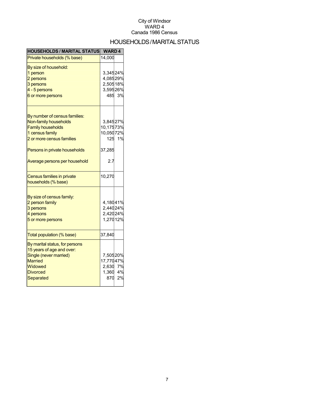## HOUSEHOLDS/MARITALSTATUS

| <b>HOUSEHOLDS / MARITAL STATUS</b> | <b>WARD4</b> |        |
|------------------------------------|--------------|--------|
| Private households (% base)        | 14,000       |        |
| By size of household:              |              |        |
| 1 person                           | 3,34524%     |        |
| 2 persons                          | 4,08529%     |        |
| 3 persons                          | 2,50518%     |        |
| 4 - 5 persons                      | 3,59526%     |        |
| 6 or more persons                  |              | 485 3% |
| By number of census families:      |              |        |
| Non-family households              | 3,84527%     |        |
| <b>Family households</b>           | 10,17573%    |        |
| 1 census family                    | 10,05072%    |        |
| 2 or more census families          |              | 125 1% |
|                                    |              |        |
| Persons in private households      | 37,285       |        |
| Average persons per household      | 2.7          |        |
| Census families in private         | 10,270       |        |
| households (% base)                |              |        |
| By size of census family:          |              |        |
| 2 person family                    | 4,18041%     |        |
| 3 persons                          | 2,44024%     |        |
| 4 persons                          | 2,42024%     |        |
| 5 or more persons                  | 1,27012%     |        |
| Total population (% base)          | 37,840       |        |
| By marital status, for persons     |              |        |
| 15 years of age and over:          |              |        |
| Single (never married)             | 7,50520%     |        |
| <b>Married</b>                     | 17,77047%    |        |
| Widowed                            | 2,630 7%     |        |
| <b>Divorced</b>                    | 1,360 4%     |        |
| Separated                          | 870          | 2%     |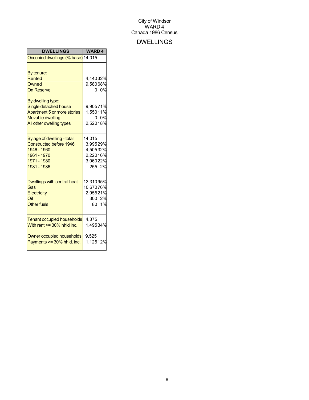## DWELLINGS

| <b>DWELLINGS</b>                   | <b>WARD4</b> |         |
|------------------------------------|--------------|---------|
| Occupied dwellings (% base) 14,015 |              |         |
|                                    |              |         |
| By tenure:                         |              |         |
| <b>Rented</b>                      | 4,44032%     |         |
| Owned                              | 9,58068%     |         |
| <b>On Reserve</b>                  |              | 0%<br>0 |
| By dwelling type:                  |              |         |
| Single detached house              | 9,90571%     |         |
| Apartment 5 or more stories        | 1,55011%     |         |
| <b>Movable dwelling</b>            |              | 0%      |
| All other dwelling types           | 2,52018%     |         |
|                                    |              |         |
| By age of dwelling - total         | 14,015       |         |
| <b>Constructed before 1946</b>     | 3,99529%     |         |
| 1946 - 1960                        | 4,50532%     |         |
| 1961 - 1970                        | 2,22016%     |         |
| 1971 - 1980                        | 3,06022%     |         |
| 1981 - 1986                        |              | 255 2%  |
| Dwellings with central heat        | 13,31095%    |         |
| Gas                                | 10,67076%    |         |
| Electricity                        | 2,95521%     |         |
| Oil                                |              | 300 2%  |
| <b>Other fuels</b>                 |              | 80 1%   |
|                                    |              |         |
| <b>Tenant occupied households</b>  | 4,375        |         |
| With rent $>=$ 30% hhld inc.       | 1,49534%     |         |
| Owner occupied households          | 9,525        |         |
| Payments >= 30% hhld. inc.         | 1,12512%     |         |
|                                    |              |         |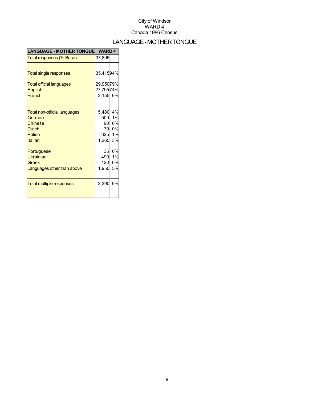## LANGUAGE-MOTHERTONGUE

| <b>LANGUAGE - MOTHER TONGUE</b>     | <b>WARD4</b> |        |
|-------------------------------------|--------------|--------|
| Total responses (% Base)            | 37,805       |        |
|                                     |              |        |
| <b>Total single responses</b>       | 35,41594%    |        |
| <b>Total official languages</b>     | 29,95079%    |        |
| <b>English</b>                      | 27,79574%    |        |
| French                              | 2,155 6%     |        |
|                                     |              |        |
| <b>Total non-official languages</b> | 5,48014%     |        |
| German                              |              | 500 1% |
| <b>Chinese</b>                      |              | 90 0%  |
| <b>Dutch</b>                        |              | 70 0%  |
| Polish                              |              | 325 1% |
| Italian                             | 1,265 3%     |        |
| Portuguese                          | 35           | 0%     |
| <b>Ukrainian</b>                    | 490          | 1%     |
| Greek                               | 120          | 0%     |
| Languages other than above          | 1,950        | 5%     |
|                                     |              |        |
| <b>Total multiple responses</b>     | 2,390        | 6%     |
|                                     |              |        |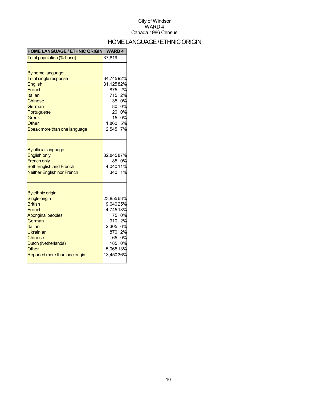## HOME LANGUAGE / ETHNIC ORIGIN

| <b>HOME LANGUAGE / ETHNIC ORIGIN</b>                                                                                                                                                                             | <b>WARD4</b>                                                                                                                                     |                             |
|------------------------------------------------------------------------------------------------------------------------------------------------------------------------------------------------------------------|--------------------------------------------------------------------------------------------------------------------------------------------------|-----------------------------|
| Total population (% base)                                                                                                                                                                                        | 37,819                                                                                                                                           |                             |
| By home language:<br><b>Total single response</b><br><b>English</b><br>French<br>Italian<br>Chinese<br>German<br>Portuguese<br><b>Greek</b><br>Other<br>Speak more than one language                             | 34,74592%<br>31,12582%<br>715<br>$\begin{array}{r} 35 & 0\% \\ 35 & 0\% \\ 80 & 0\% \\ 20 & 0\% \\ 15 & 0\% \\ 1,860 & 5\% \end{array}$<br>2,545 | 875 2%<br>2%<br>7%          |
| By official language:<br><b>English only</b><br><b>French only</b><br><b>Both English and French</b><br><b>Neither English nor French</b>                                                                        | 32,84587%<br>4,04011%                                                                                                                            | 85 0%<br>340 1%             |
| By ethnic origin:<br>Single origin<br><b>British</b><br>French<br><b>Aboriginal peoples</b><br>German<br>Italian<br>Ukrainian<br><b>Chinese</b><br>Dutch (Netherlands)<br>Other<br>Reported more than one origin | 23,85563%<br>9,64025%<br>4,74513%<br>910<br>2,305 6%<br>870 2%<br>65<br>5,06513%<br>13,45036%                                                    | 75 0%<br>2%<br>0%<br>185 0% |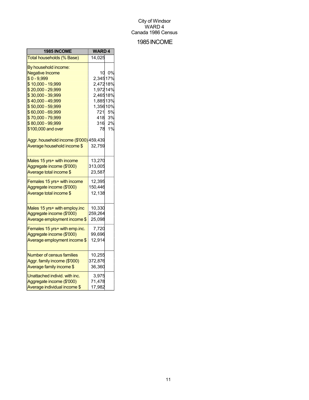## 1985INCOME

| 1985 INCOME                             | <b>WARD4</b> |    |
|-----------------------------------------|--------------|----|
| Total households (% Base)               | 14,025       |    |
| By household income:                    |              |    |
| <b>Negative Income</b>                  | 10           | 0% |
| $$0 - 9,999$                            | 2,34517%     |    |
| \$10,000 - 19,999                       | 2,47218%     |    |
| \$20,000 - 29,999                       | 1,97214%     |    |
| \$30,000 - 39,999                       | 2,46518%     |    |
| \$40,000 - 49,999                       | 1,88513%     |    |
| \$50,000 - 59,999                       | 1,35610%     |    |
| \$60,000 - 69,999                       | 721          | 5% |
| \$70,000 - 79,999                       | 418          | 3% |
| \$80,000 - 99,999                       | 316          | 2% |
| \$100,000 and over                      | 78           | 1% |
| Aggr. household income (\$'000) 459,439 |              |    |
| Average household income \$             | 32,759       |    |
|                                         |              |    |
| Males 15 yrs+ with income               | 13,270       |    |
| Aggregate income (\$'000)               | 313,005      |    |
| Average total income \$                 | 23,587       |    |
| Females 15 yrs+ with income             | 12,395       |    |
| Aggregate income (\$'000)               | 150,446      |    |
| Average total income \$                 | 12,138       |    |
|                                         |              |    |
| Males 15 yrs+ with employ.inc           | 10,330       |    |
| Aggregate income (\$'000)               | 259,264      |    |
| Average employment income \$            | 25,098       |    |
| Females 15 yrs+ with emp.inc.           | 7,720        |    |
| Aggregate income (\$'000)               | 99,696       |    |
| Average employment income \$            | 12,914       |    |
|                                         |              |    |
| <b>Number of census families</b>        | 10,255       |    |
| Aggr. family income (\$'000)            | 372,876      |    |
| Average family income \$                | 36,360       |    |
| Unattached individ. with inc.           | 3,975        |    |
| Aggregate income (\$'000)               | 71,478       |    |
| Average individual income \$            | 17,982       |    |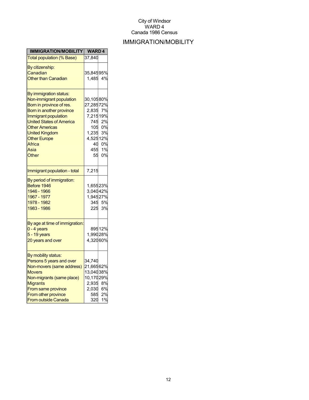## IMMIGRATION/MOBILITY

| IMMIGRATION/MOBILITY                            | <b>WARD4</b> |        |
|-------------------------------------------------|--------------|--------|
| <b>Total population (% Base)</b>                | 37,840       |        |
| By citizenship:                                 |              |        |
| Canadian                                        | 35,84595%    |        |
| <b>Other than Canadian</b>                      | 1,485 4%     |        |
|                                                 |              |        |
| By immigration status:                          |              |        |
| Non-immigrant population                        | 30,10580%    |        |
| Born in province of res.                        | 27,28572%    |        |
| Born in another province                        | 2,835 7%     |        |
| Immigrant population                            | 7,21519%     |        |
| <b>United States of America</b>                 | 745          | 2%     |
| <b>Other Americas</b>                           | 105          | 0%     |
| <b>United Kingdom</b>                           | 1,235        | 3%     |
| <b>Other Europe</b>                             | 4,52512%     |        |
| Africa                                          | 40           | 0%     |
| Asia                                            | 455          | 1%     |
| Other                                           | 55           | 0%     |
|                                                 |              |        |
| Immigrant population - total                    | 7,215        |        |
| By period of immigration:                       |              |        |
| Before 1946                                     | 1,65523%     |        |
| 1946 - 1966                                     | 3,04042%     |        |
| 1967 - 1977                                     | 1,94527%     |        |
| 1978 - 1982                                     |              | 345 5% |
| 1983 - 1986                                     | 225          | 3%     |
|                                                 |              |        |
| By age at time of immigration:<br>$0 - 4$ years |              | 89512% |
| $5 - 19$ years                                  | 1,99028%     |        |
|                                                 | 4,32060%     |        |
| 20 years and over                               |              |        |
| By mobility status:                             |              |        |
| Persons 5 years and over                        | 34,740       |        |
| Non-movers (same address)                       | 21,66562%    |        |
| <b>Movers</b>                                   | 13,04038%    |        |
| Non-migrants (same place)                       | 10,17029%    |        |
| <b>Migrants</b>                                 | 2,935        | 8%     |
| From same province                              | 2,030        | 6%     |
| From other province                             | 585          | 2%     |
| <b>From outside Canada</b>                      | 320          | 1%     |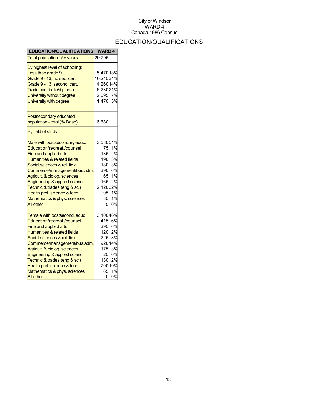## EDUCATION/QUALIFICATIONS

| <b>EDUCATION/QUALIFICATIONS</b>        | <b>WARD4</b> |         |
|----------------------------------------|--------------|---------|
| Total population 15+ years             | 29,795       |         |
| By highest level of schooling:         |              |         |
| Less than grade 9                      | 5,47018%     |         |
| Grade 9 - 13, no sec. cert.            | 10,24534%    |         |
| Grade 9 - 13, second. cert.            | 4,26014%     |         |
| Trade certificate/diploma              | 6,23021%     |         |
| University without degree              | 2,095        | 7%      |
| University with degree                 | 1,470        | 5%      |
| Postsecondary educated                 |              |         |
| population - total (% Base)            | 6,680        |         |
| By field of study:                     |              |         |
| Male with postsecondary educ.          | 3,58054%     |         |
| Education/recreat./counsell.           | 75           | 1%      |
| Fine and applied arts                  | 135          | 2%      |
| Humanities & related fields            | 190          | 3%      |
| Social sciences & rel. field           | 180          | 3%      |
| Commerce/management/bus.adm.           | 390          | 6%      |
| Agricult. & biolog. sciences           | 65           | 1%      |
| Engineering & applied scienc           | 165          | 2%      |
| Technic.& trades (eng & sci)           | 2,12032%     |         |
| Health prof. science & tech.           | 95           | 1%      |
| Mathematics & phys. sciences           | 85           | 1%      |
| <b>All other</b>                       | 5            | 0%      |
| Female with postsecond. educ.          | 3,10046%     |         |
| Education/recreat./counsell.           | 415          | 6%      |
| Fine and applied arts                  | 395          | 6%      |
| <b>Humanities &amp; related fields</b> | 120          | 2%      |
| Social sciences & rel. field           | 225          | 3%      |
| Commerce/management/bus.adm.           |              | 92014%  |
| Agricult. & biolog. sciences           | 175          | 3%      |
| Engineering & applied scienc           | 25           | 0%      |
| Technic.& trades (eng & sci)           | 130          | 2%      |
| Health prof. science & tech.           |              | 700 10% |
| Mathematics & phys. sciences           | 65           | 1%      |
| <b>All other</b>                       | 0            | 0%      |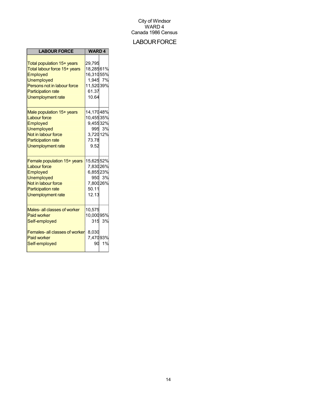## **LABOUR FORCE**

| <b>LABOUR FORCE</b>                                                                                                                                                                        | <b>WARD4</b>                                                                |              |
|--------------------------------------------------------------------------------------------------------------------------------------------------------------------------------------------|-----------------------------------------------------------------------------|--------------|
| Total population 15+ years<br>Total labour force 15+ years<br><b>Employed</b><br><b>Unemployed</b><br>Persons not in labour force<br><b>Participation rate</b><br><b>Unemployment rate</b> | 29,795<br>18,28561%<br>16,31055%<br>1,945 7%<br>11,52039%<br>61.37<br>10.64 |              |
| Male population 15+ years<br><b>Labour force</b><br>Employed<br><b>Unemployed</b><br>Not in labour force<br><b>Participation rate</b><br><b>Unemployment rate</b>                          | 14,17048%<br>10,45535%<br>9,45532%<br>3,720 12%<br>73.78<br>9.52            | 995 3%       |
| Female population 15+ years<br><b>Labour force</b><br>Employed<br><b>Unemployed</b><br>Not in labour force<br><b>Participation rate</b><br><b>Unemployment rate</b>                        | 15,62552%<br>7,83026%<br>6,85523%<br>7,80026%<br>50.11<br>12.13             | 950 3%       |
| Males- all classes of worker<br><b>Paid worker</b><br>Self-employed<br><b>Females-all classes of worker</b><br><b>Paid worker</b><br>Self-employed                                         | 10,575<br>10,00095%<br>8,030<br>7,47093%<br>90                              | 315 3%<br>1% |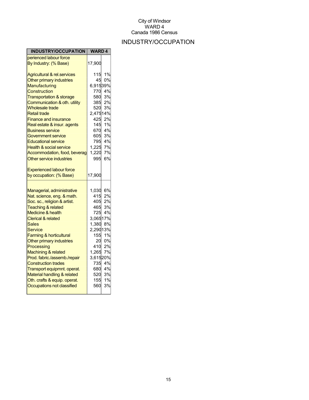## INDUSTRY/OCCUPATION

| INDUSTRY/OCCUPATION                    | <b>WARD4</b>   |        |
|----------------------------------------|----------------|--------|
| perienced labour force                 |                |        |
| By Industry: (% Base)                  | 17,900         |        |
| <b>Agricultural &amp; rel.services</b> | 115            | 1%     |
| Other primary industries               | 45             | 0%     |
| Manufacturing                          | 6,91539%       |        |
| Construction                           | 770            | 4%     |
| <b>Transportation &amp; storage</b>    |                | 580 3% |
| Communication & oth. utility           | 385            | 2%     |
| <b>Wholesale trade</b>                 | 520            | 3%     |
| <b>Retail trade</b>                    | 2,47514%       |        |
| <b>Finance and insurance</b>           | 425            | 2%     |
| Real estate & insur. agents            | 145            | 1%     |
| <b>Business service</b>                |                | 670 4% |
| Government service                     |                | 605 3% |
| <b>Educational service</b>             | 795            | 4%     |
| <b>Health &amp; social service</b>     | 1,225<br>1,220 | 7%     |
| Accommodation, food, beverag           |                | 7%     |
| Other service industries               | 995            | 6%     |
| <b>Experienced labour force</b>        |                |        |
| by occupation: (% Base)                | 17,900         |        |
|                                        |                |        |
| Managerial, administrative             | 1,030 6%       |        |
| Nat. science, eng. & math.             | 415            | 2%     |
| Soc. sc., religion & artist.           |                | 405 2% |
| <b>Teaching &amp; related</b>          |                | 465 3% |
| Medicine & health                      | 725            | 4%     |
| <b>Clerical &amp; related</b>          | 3,06517%       |        |
| Sales                                  | 1,380          | 8%     |
| <b>Service</b>                         | 2,29013%       | 1%     |
| Farming & horticultural                | 155<br>20      | 0%     |
| Other primary industries               | 410            | 2%     |
| Processing<br>Machining & related      | 1,265          | 7%     |
| Prod. fabric./assemb./repair           | 3,61520%       |        |
| <b>Construction trades</b>             | 735            | 4%     |
| Transport equipmnt. operat.            |                | 680 4% |
| Material handling & related            | 520            | 3%     |
| Oth. crafts & equip. operat.           | 155            | 1%     |
| Occupations not classified             | 560            | 3%     |
|                                        |                |        |